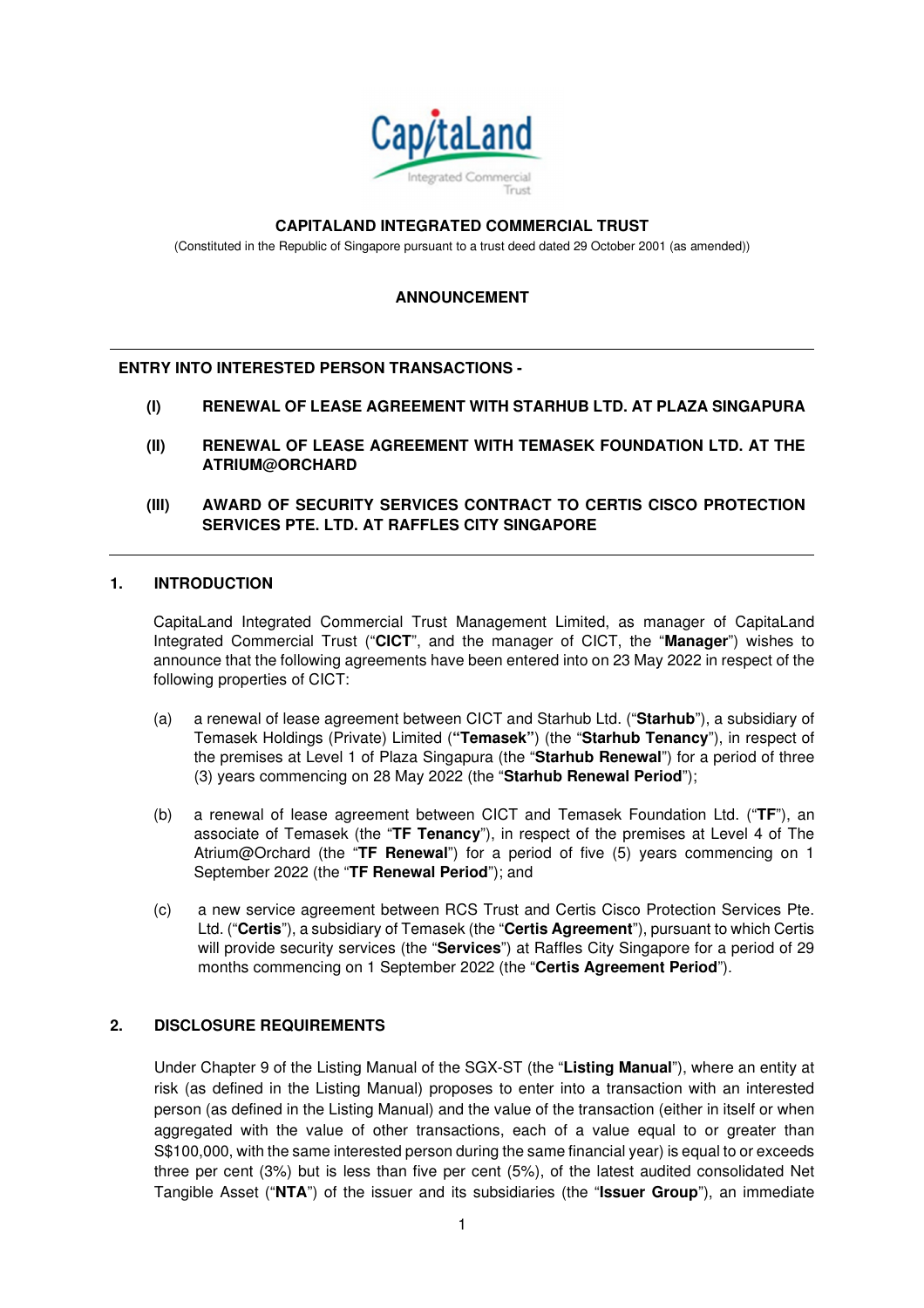

#### **CAPITALAND INTEGRATED COMMERCIAL TRUST**

(Constituted in the Republic of Singapore pursuant to a trust deed dated 29 October 2001 (as amended))

## **ANNOUNCEMENT**

#### **ENTRY INTO INTERESTED PERSON TRANSACTIONS -**

- **(I) RENEWAL OF LEASE AGREEMENT WITH STARHUB LTD. AT PLAZA SINGAPURA**
- **(II) RENEWAL OF LEASE AGREEMENT WITH TEMASEK FOUNDATION LTD. AT THE ATRIUM@ORCHARD**
- **(III) AWARD OF SECURITY SERVICES CONTRACT TO CERTIS CISCO PROTECTION SERVICES PTE. LTD. AT RAFFLES CITY SINGAPORE**

#### **1. INTRODUCTION**

CapitaLand Integrated Commercial Trust Management Limited, as manager of CapitaLand Integrated Commercial Trust ("**CICT**", and the manager of CICT, the "**Manager**") wishes to announce that the following agreements have been entered into on 23 May 2022 in respect of the following properties of CICT:

- (a) a renewal of lease agreement between CICT and Starhub Ltd. ("**Starhub**"), a subsidiary of Temasek Holdings (Private) Limited (**"Temasek"**) (the "**Starhub Tenancy**"), in respect of the premises at Level 1 of Plaza Singapura (the "**Starhub Renewal**") for a period of three (3) years commencing on 28 May 2022 (the "**Starhub Renewal Period**");
- (b) a renewal of lease agreement between CICT and Temasek Foundation Ltd. ("**TF**"), an associate of Temasek (the "**TF Tenancy**"), in respect of the premises at Level 4 of The Atrium@Orchard (the "**TF Renewal**") for a period of five (5) years commencing on 1 September 2022 (the "**TF Renewal Period**"); and
- (c) a new service agreement between RCS Trust and Certis Cisco Protection Services Pte. Ltd. ("**Certis**"), a subsidiary of Temasek (the "**Certis Agreement**"), pursuant to which Certis will provide security services (the "**Services**") at Raffles City Singapore for a period of 29 months commencing on 1 September 2022 (the "**Certis Agreement Period**").

#### **2. DISCLOSURE REQUIREMENTS**

 Under Chapter 9 of the Listing Manual of the SGX-ST (the "**Listing Manual**"), where an entity at risk (as defined in the Listing Manual) proposes to enter into a transaction with an interested person (as defined in the Listing Manual) and the value of the transaction (either in itself or when aggregated with the value of other transactions, each of a value equal to or greater than S\$100,000, with the same interested person during the same financial year) is equal to or exceeds three per cent (3%) but is less than five per cent (5%), of the latest audited consolidated Net Tangible Asset ("**NTA**") of the issuer and its subsidiaries (the "**Issuer Group**"), an immediate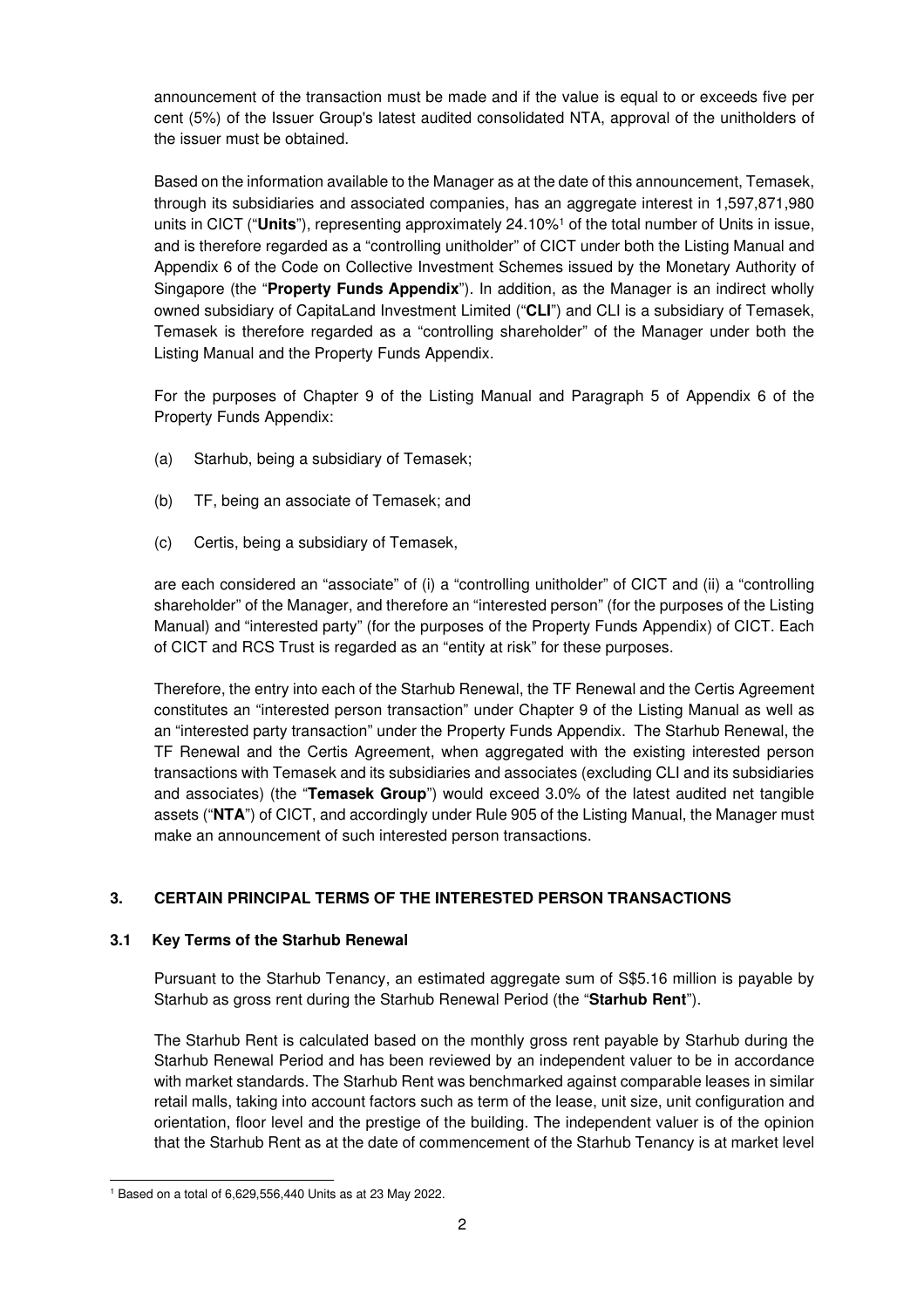announcement of the transaction must be made and if the value is equal to or exceeds five per cent (5%) of the Issuer Group's latest audited consolidated NTA, approval of the unitholders of the issuer must be obtained.

Based on the information available to the Manager as at the date of this announcement, Temasek, through its subsidiaries and associated companies, has an aggregate interest in 1,597,871,980 units in CICT ("**Units**"), representing approximately 24.10%<sup>1</sup> of the total number of Units in issue, and is therefore regarded as a "controlling unitholder" of CICT under both the Listing Manual and Appendix 6 of the Code on Collective Investment Schemes issued by the Monetary Authority of Singapore (the "**Property Funds Appendix**"). In addition, as the Manager is an indirect wholly owned subsidiary of CapitaLand Investment Limited ("**CLI**") and CLI is a subsidiary of Temasek, Temasek is therefore regarded as a "controlling shareholder" of the Manager under both the Listing Manual and the Property Funds Appendix.

For the purposes of Chapter 9 of the Listing Manual and Paragraph 5 of Appendix 6 of the Property Funds Appendix:

- (a) Starhub, being a subsidiary of Temasek;
- (b) TF, being an associate of Temasek; and
- (c) Certis, being a subsidiary of Temasek,

are each considered an "associate" of (i) a "controlling unitholder" of CICT and (ii) a "controlling shareholder" of the Manager, and therefore an "interested person" (for the purposes of the Listing Manual) and "interested party" (for the purposes of the Property Funds Appendix) of CICT. Each of CICT and RCS Trust is regarded as an "entity at risk" for these purposes.

 Therefore, the entry into each of the Starhub Renewal, the TF Renewal and the Certis Agreement constitutes an "interested person transaction" under Chapter 9 of the Listing Manual as well as an "interested party transaction" under the Property Funds Appendix. The Starhub Renewal, the TF Renewal and the Certis Agreement, when aggregated with the existing interested person transactions with Temasek and its subsidiaries and associates (excluding CLI and its subsidiaries and associates) (the "**Temasek Group**") would exceed 3.0% of the latest audited net tangible assets ("**NTA**") of CICT, and accordingly under Rule 905 of the Listing Manual, the Manager must make an announcement of such interested person transactions.

# **3. CERTAIN PRINCIPAL TERMS OF THE INTERESTED PERSON TRANSACTIONS**

## **3.1 Key Terms of the Starhub Renewal**

 Pursuant to the Starhub Tenancy, an estimated aggregate sum of S\$5.16 million is payable by Starhub as gross rent during the Starhub Renewal Period (the "**Starhub Rent**").

 The Starhub Rent is calculated based on the monthly gross rent payable by Starhub during the Starhub Renewal Period and has been reviewed by an independent valuer to be in accordance with market standards. The Starhub Rent was benchmarked against comparable leases in similar retail malls, taking into account factors such as term of the lease, unit size, unit configuration and orientation, floor level and the prestige of the building. The independent valuer is of the opinion that the Starhub Rent as at the date of commencement of the Starhub Tenancy is at market level

<sup>1</sup> Based on a total of 6,629,556,440 Units as at 23 May 2022.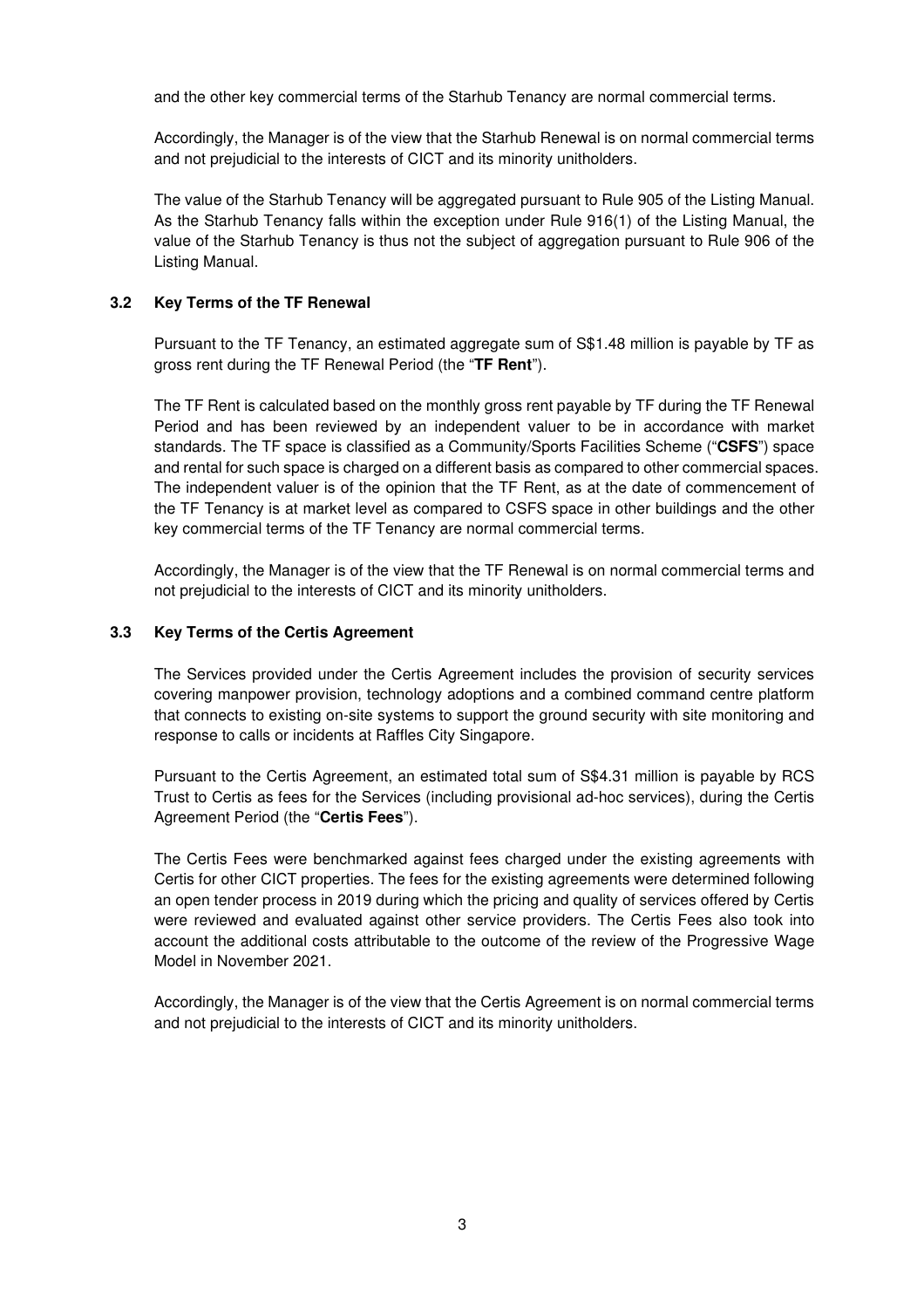and the other key commercial terms of the Starhub Tenancy are normal commercial terms.

 Accordingly, the Manager is of the view that the Starhub Renewal is on normal commercial terms and not prejudicial to the interests of CICT and its minority unitholders.

The value of the Starhub Tenancy will be aggregated pursuant to Rule 905 of the Listing Manual. As the Starhub Tenancy falls within the exception under Rule 916(1) of the Listing Manual, the value of the Starhub Tenancy is thus not the subject of aggregation pursuant to Rule 906 of the Listing Manual.

#### **3.2 Key Terms of the TF Renewal**

 Pursuant to the TF Tenancy, an estimated aggregate sum of S\$1.48 million is payable by TF as gross rent during the TF Renewal Period (the "**TF Rent**").

 The TF Rent is calculated based on the monthly gross rent payable by TF during the TF Renewal Period and has been reviewed by an independent valuer to be in accordance with market standards. The TF space is classified as a Community/Sports Facilities Scheme ("**CSFS**") space and rental for such space is charged on a different basis as compared to other commercial spaces. The independent valuer is of the opinion that the TF Rent, as at the date of commencement of the TF Tenancy is at market level as compared to CSFS space in other buildings and the other key commercial terms of the TF Tenancy are normal commercial terms.

 Accordingly, the Manager is of the view that the TF Renewal is on normal commercial terms and not prejudicial to the interests of CICT and its minority unitholders.

#### **3.3 Key Terms of the Certis Agreement**

 The Services provided under the Certis Agreement includes the provision of security services covering manpower provision, technology adoptions and a combined command centre platform that connects to existing on-site systems to support the ground security with site monitoring and response to calls or incidents at Raffles City Singapore.

Pursuant to the Certis Agreement, an estimated total sum of S\$4.31 million is payable by RCS Trust to Certis as fees for the Services (including provisional ad-hoc services), during the Certis Agreement Period (the "**Certis Fees**").

The Certis Fees were benchmarked against fees charged under the existing agreements with Certis for other CICT properties. The fees for the existing agreements were determined following an open tender process in 2019 during which the pricing and quality of services offered by Certis were reviewed and evaluated against other service providers. The Certis Fees also took into account the additional costs attributable to the outcome of the review of the Progressive Wage Model in November 2021.

 Accordingly, the Manager is of the view that the Certis Agreement is on normal commercial terms and not prejudicial to the interests of CICT and its minority unitholders.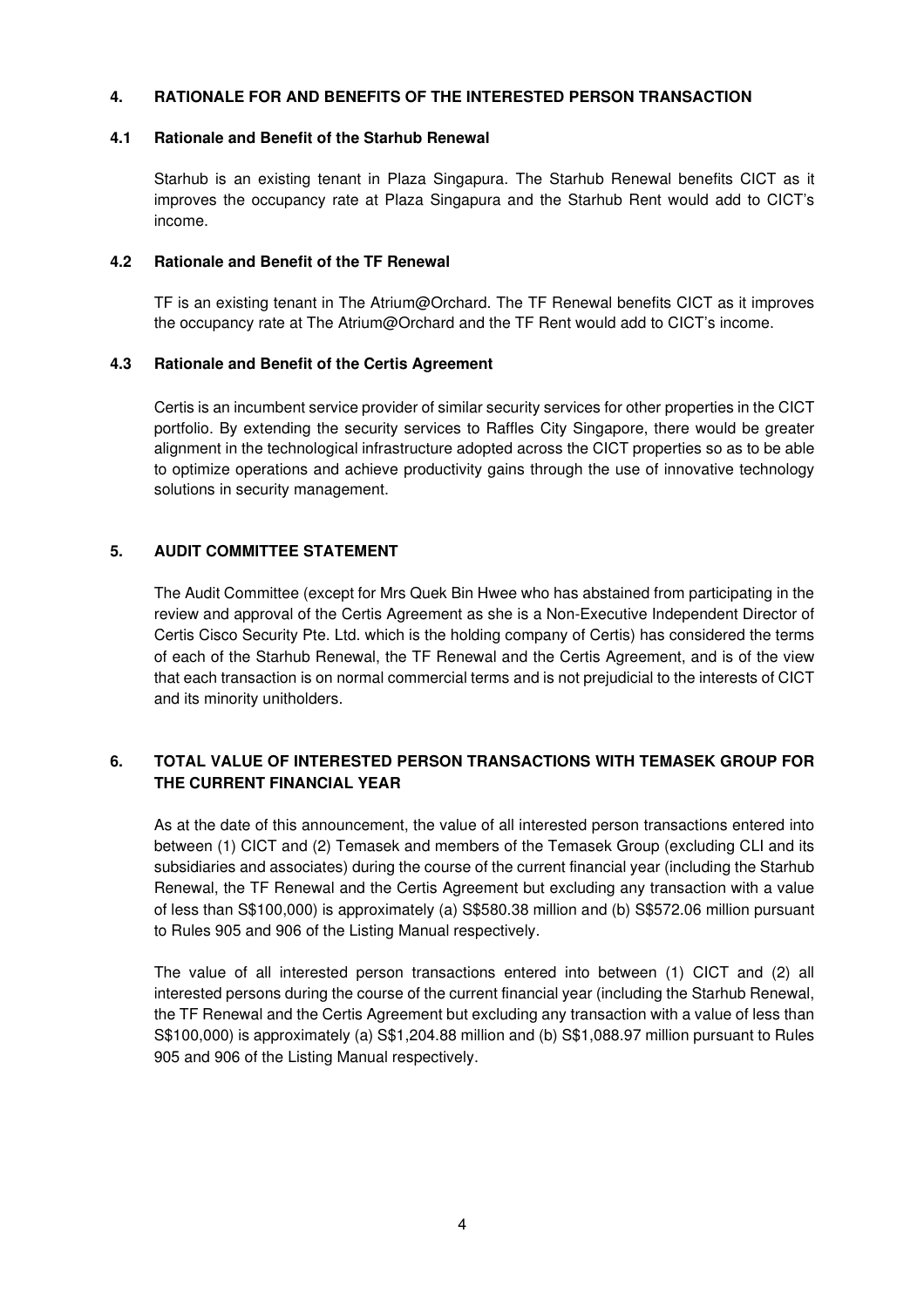## **4. RATIONALE FOR AND BENEFITS OF THE INTERESTED PERSON TRANSACTION**

#### **4.1 Rationale and Benefit of the Starhub Renewal**

 Starhub is an existing tenant in Plaza Singapura. The Starhub Renewal benefits CICT as it improves the occupancy rate at Plaza Singapura and the Starhub Rent would add to CICT's income.

#### **4.2 Rationale and Benefit of the TF Renewal**

TF is an existing tenant in The Atrium@Orchard. The TF Renewal benefits CICT as it improves the occupancy rate at The Atrium@Orchard and the TF Rent would add to CICT's income.

## **4.3 Rationale and Benefit of the Certis Agreement**

Certis is an incumbent service provider of similar security services for other properties in the CICT portfolio. By extending the security services to Raffles City Singapore, there would be greater alignment in the technological infrastructure adopted across the CICT properties so as to be able to optimize operations and achieve productivity gains through the use of innovative technology solutions in security management.

## **5. AUDIT COMMITTEE STATEMENT**

 The Audit Committee (except for Mrs Quek Bin Hwee who has abstained from participating in the review and approval of the Certis Agreement as she is a Non-Executive Independent Director of Certis Cisco Security Pte. Ltd. which is the holding company of Certis) has considered the terms of each of the Starhub Renewal, the TF Renewal and the Certis Agreement, and is of the view that each transaction is on normal commercial terms and is not prejudicial to the interests of CICT and its minority unitholders.

# **6. TOTAL VALUE OF INTERESTED PERSON TRANSACTIONS WITH TEMASEK GROUP FOR THE CURRENT FINANCIAL YEAR**

 As at the date of this announcement, the value of all interested person transactions entered into between (1) CICT and (2) Temasek and members of the Temasek Group (excluding CLI and its subsidiaries and associates) during the course of the current financial year (including the Starhub Renewal, the TF Renewal and the Certis Agreement but excluding any transaction with a value of less than S\$100,000) is approximately (a) S\$580.38 million and (b) S\$572.06 million pursuant to Rules 905 and 906 of the Listing Manual respectively.

 The value of all interested person transactions entered into between (1) CICT and (2) all interested persons during the course of the current financial year (including the Starhub Renewal, the TF Renewal and the Certis Agreement but excluding any transaction with a value of less than S\$100,000) is approximately (a) S\$1,204.88 million and (b) S\$1,088.97 million pursuant to Rules 905 and 906 of the Listing Manual respectively.